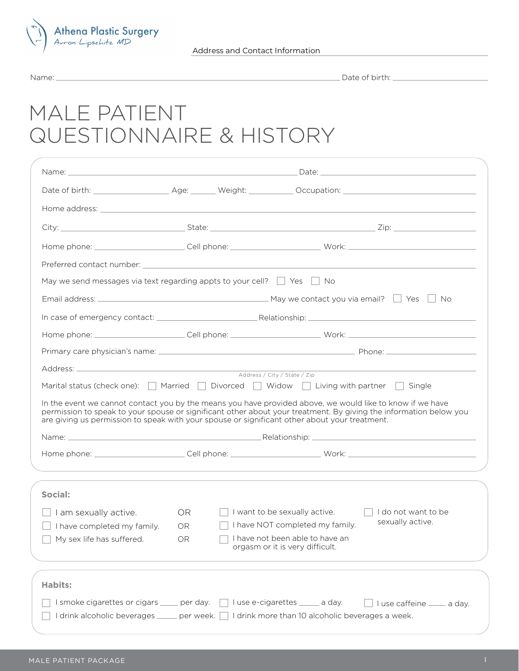

Name: Date of birth:

## MALE PATIENT QUESTIONNAIRE & HISTORY

| May we send messages via text regarding appts to your cell? $\Box$ Yes $\Box$ No |           |                                                                                                                                                                                                                    |  |
|----------------------------------------------------------------------------------|-----------|--------------------------------------------------------------------------------------------------------------------------------------------------------------------------------------------------------------------|--|
|                                                                                  |           |                                                                                                                                                                                                                    |  |
|                                                                                  |           |                                                                                                                                                                                                                    |  |
|                                                                                  |           |                                                                                                                                                                                                                    |  |
|                                                                                  |           |                                                                                                                                                                                                                    |  |
|                                                                                  |           |                                                                                                                                                                                                                    |  |
|                                                                                  |           | Address / City / State / Zip<br>Marital status (check one): $\Box$ Married $\Box$ Divorced $\Box$ Widow $\Box$ Living with partner $\Box$ Single                                                                   |  |
|                                                                                  |           | In the event we cannot contact you by the means you have provided above, we would like to know if we have                                                                                                          |  |
|                                                                                  |           | permission to speak to your spouse or significant other about your treatment. By giving the information below you<br>are giving us permission to speak with your spouse or significant other about your treatment. |  |
|                                                                                  |           |                                                                                                                                                                                                                    |  |
|                                                                                  |           |                                                                                                                                                                                                                    |  |
| I am sexually active.                                                            | OR.       | I want to be sexually active.<br>I do not want to be                                                                                                                                                               |  |
| I have completed my family.                                                      | <b>OR</b> | sexually active.<br>I have NOT completed my family.                                                                                                                                                                |  |
| My sex life has suffered.                                                        | OR        | I have not been able to have an<br>orgasm or it is very difficult.                                                                                                                                                 |  |
|                                                                                  |           |                                                                                                                                                                                                                    |  |
| Social:<br><b>Habits:</b><br>I smoke cigarettes or cigars ____ per day.          |           | I use e-cigarettes _____ a day.<br>$\Box$ I use caffeine $\_\_\_\_$ a day.                                                                                                                                         |  |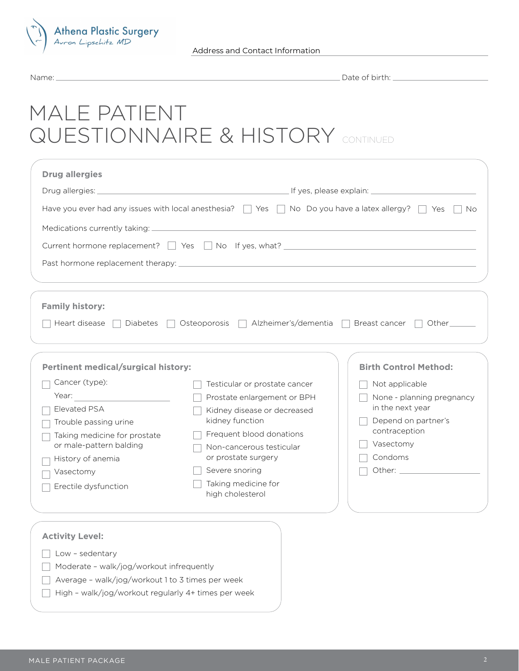

Date of birth:

# MALE PATIENT QUESTIONNAIRE & HISTORY CONTINUED

| <b>Drug allergies</b>                                                                                                                                      |                                                                                                                                                                                                                                        |                                                                                                                                 |  |  |  |
|------------------------------------------------------------------------------------------------------------------------------------------------------------|----------------------------------------------------------------------------------------------------------------------------------------------------------------------------------------------------------------------------------------|---------------------------------------------------------------------------------------------------------------------------------|--|--|--|
|                                                                                                                                                            |                                                                                                                                                                                                                                        |                                                                                                                                 |  |  |  |
| Have you ever had any issues with local anesthesia? $\Box$ Yes $\Box$ No Do you have a latex allergy? $\Box$ Yes<br>No.                                    |                                                                                                                                                                                                                                        |                                                                                                                                 |  |  |  |
|                                                                                                                                                            | Current hormone replacement? $\Box$ Yes $\Box$ No If yes, what?                                                                                                                                                                        |                                                                                                                                 |  |  |  |
|                                                                                                                                                            |                                                                                                                                                                                                                                        |                                                                                                                                 |  |  |  |
| <b>Family history:</b><br>Heart disease     Diabetes                                                                                                       | □ Osteoporosis □ Alzheimer's/dementia □ Breast cancer □ Other                                                                                                                                                                          |                                                                                                                                 |  |  |  |
| <b>Pertinent medical/surgical history:</b><br>Cancer (type):                                                                                               |                                                                                                                                                                                                                                        | <b>Birth Control Method:</b>                                                                                                    |  |  |  |
| Elevated PSA<br>Trouble passing urine<br>Taking medicine for prostate<br>or male-pattern balding<br>History of anemia<br>Vasectomy<br>Erectile dysfunction | Testicular or prostate cancer<br>Prostate enlargement or BPH<br>Kidney disease or decreased<br>kidney function<br>Frequent blood donations<br>Non-cancerous testicular<br>or prostate surgery<br>Severe snoring<br>Taking medicine for | Not applicable<br>None - planning pregnancy<br>in the next year<br>Depend on partner's<br>contraception<br>Vasectomy<br>Condoms |  |  |  |
| <b>Activity Level:</b><br>Low - sedentary                                                                                                                  | high cholesterol                                                                                                                                                                                                                       |                                                                                                                                 |  |  |  |

- Moderate walk/jog/workout infrequently
- Average walk/jog/workout 1 to 3 times per week
- $\Box$  High walk/jog/workout regularly 4+ times per week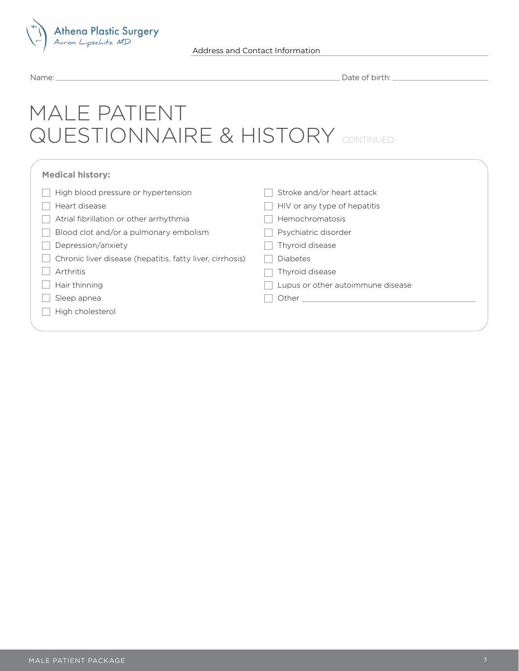

| Name: |  |  |
|-------|--|--|
|       |  |  |

\_Date of birth: \_

# MALE PATIENT QUESTIONNAIRE & HISTORY CONTINUED

| <b>Medical history:</b>                                   |                                   |
|-----------------------------------------------------------|-----------------------------------|
| High blood pressure or hypertension                       | Stroke and/or heart attack        |
| Heart disease                                             | HIV or any type of hepatitis      |
| Atrial fibrillation or other arrhythmia                   | Hemochromatosis                   |
| Blood clot and/or a pulmonary embolism                    | Psychiatric disorder              |
| Depression/anxiety                                        | Thyroid disease                   |
| Chronic liver disease (hepatitis, fatty liver, cirrhosis) | <b>Diabetes</b>                   |
| Arthritis                                                 | Thyroid disease                   |
| Hair thinning                                             | Lupus or other autoimmune disease |
| Sleep apnea                                               | Other                             |
| High cholesterol                                          |                                   |
|                                                           |                                   |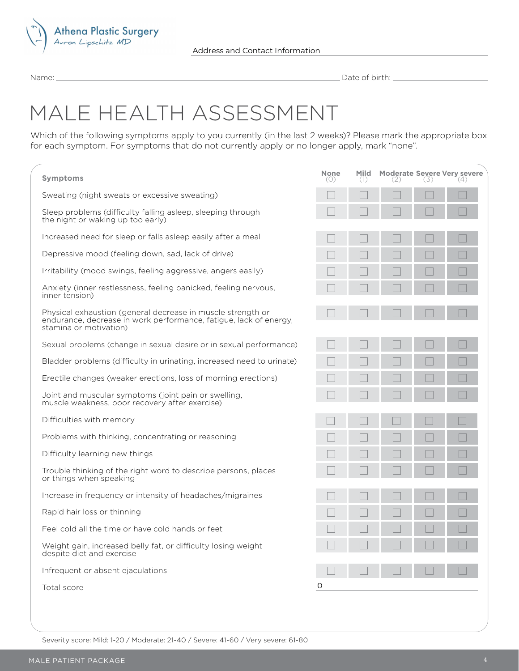

# MALE HEALTH ASSESSMENT

| lame:                                                                                                                                                                                                                                 | Date of birth: <u>containing</u>      |               |  |     |                                           |
|---------------------------------------------------------------------------------------------------------------------------------------------------------------------------------------------------------------------------------------|---------------------------------------|---------------|--|-----|-------------------------------------------|
| MALE HEALTH ASSESSMENT<br>Vhich of the following symptoms apply to you currently (in the last 2 weeks)? Please mark the appropriate box<br>or each symptom. For symptoms that do not currently apply or no longer apply, mark "none". |                                       |               |  |     |                                           |
| <b>Symptoms</b>                                                                                                                                                                                                                       | <b>None</b><br>$\left(\bigcup\right)$ | Mild<br>$($ ] |  | -51 | <b>Moderate Severe Very severe</b><br>(4) |
| Sweating (night sweats or excessive sweating)                                                                                                                                                                                         |                                       |               |  |     |                                           |
| Sleep problems (difficulty falling asleep, sleeping through<br>the night or waking up too early)                                                                                                                                      |                                       |               |  |     |                                           |
| Increased need for sleep or falls asleep easily after a meal                                                                                                                                                                          |                                       |               |  |     | L                                         |
| Depressive mood (feeling down, sad, lack of drive)                                                                                                                                                                                    |                                       |               |  |     |                                           |
| Irritability (mood swings, feeling aggressive, angers easily)                                                                                                                                                                         |                                       |               |  |     |                                           |
| Anxiety (inner restlessness, feeling panicked, feeling nervous,<br>inner tension)                                                                                                                                                     |                                       |               |  |     | H                                         |
| Physical exhaustion (general decrease in muscle strength or<br>endurance, decrease in work performance, fatigue, lack of energy,<br>stamina or motivation)                                                                            |                                       |               |  |     |                                           |
| Sexual problems (change in sexual desire or in sexual performance)                                                                                                                                                                    |                                       |               |  |     | L                                         |
| Bladder problems (difficulty in urinating, increased need to urinate)                                                                                                                                                                 |                                       |               |  |     |                                           |
| Erectile changes (weaker erections, loss of morning erections)                                                                                                                                                                        |                                       |               |  |     |                                           |
| Joint and muscular symptoms (joint pain or swelling,<br>muscle weakness, poor recovery after exercise)                                                                                                                                |                                       |               |  |     |                                           |
| Difficulties with memory                                                                                                                                                                                                              |                                       |               |  |     |                                           |
| Problems with thinking, concentrating or reasoning                                                                                                                                                                                    |                                       |               |  |     |                                           |
| Difficulty learning new things                                                                                                                                                                                                        |                                       |               |  |     |                                           |
| Trouble thinking of the right word to describe persons, places<br>or things when speaking                                                                                                                                             |                                       |               |  |     |                                           |
| Increase in frequency or intensity of headaches/migraines                                                                                                                                                                             |                                       |               |  |     |                                           |
| Rapid hair loss or thinning                                                                                                                                                                                                           |                                       |               |  |     | H.                                        |
| Feel cold all the time or have cold hands or feet                                                                                                                                                                                     |                                       |               |  |     |                                           |
| Weight gain, increased belly fat, or difficulty losing weight<br>despite diet and exercise                                                                                                                                            |                                       |               |  |     |                                           |
| Infrequent or absent ejaculations                                                                                                                                                                                                     |                                       |               |  |     |                                           |
| Total score                                                                                                                                                                                                                           | O                                     |               |  |     |                                           |

Severity score: Mild: 1-20 / Moderate: 21-40 / Severe: 41-60 / Very severe: 61-80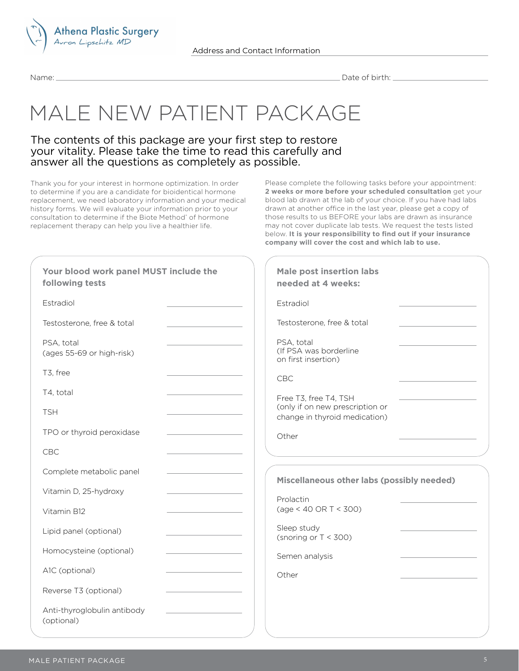

# MALE NEW PATIENT PACKAGE

### The contents of this package are your first step to restore your vitality. Please take the time to read this carefully and answer all the questions as completely as possible.

Thank you for your interest in hormone optimization. In order to determine if you are a candidate for bioidentical hormone replacement, we need laboratory information and your medical history forms. We will evaluate your information prior to your consultation to determine if the Biote Method<sup>®</sup> of hormone replacement therapy can help you live a healthier life.

Please complete the following tasks before your appointment: **2 weeks or more before your scheduled consultation** get your blood lab drawn at the lab of your choice. If you have had labs drawn at another office in the last year, please get a copy of those results to us BEFORE your labs are drawn as insurance may not cover duplicate lab tests. We request the tests listed below. **It is your responsibility to find out if your insurance company will cover the cost and which lab to use.** 

| Your blood work panel MUST include the<br>following tests | <b>Male post insertion labs</b><br>needed at 4 weeks:            |
|-----------------------------------------------------------|------------------------------------------------------------------|
| Estradiol                                                 | Estradiol                                                        |
| Testosterone, free & total                                | Testosterone, free & total                                       |
| PSA, total<br>(ages 55-69 or high-risk)                   | PSA, total<br>(If PSA was borderline<br>on first insertion)      |
| T3, free                                                  | CBC                                                              |
| T4, total                                                 | Free T3, free T4, TSH                                            |
| <b>TSH</b>                                                | (only if on new prescription or<br>change in thyroid medication) |
| TPO or thyroid peroxidase                                 | Other                                                            |
| CBC                                                       |                                                                  |
| Complete metabolic panel                                  | Miscellaneous other labs (possibly needed)                       |
| Vitamin D, 25-hydroxy                                     | Prolactin                                                        |
| Vitamin B12                                               | $(age < 40 \text{ OR } T < 300)$                                 |
| Lipid panel (optional)                                    | Sleep study<br>(snoring or $T < 300$ )                           |
| Homocysteine (optional)                                   | Semen analysis                                                   |
| A1C (optional)                                            | Other                                                            |
| Reverse T3 (optional)                                     |                                                                  |
| Anti-thyroglobulin antibody<br>(optional)                 |                                                                  |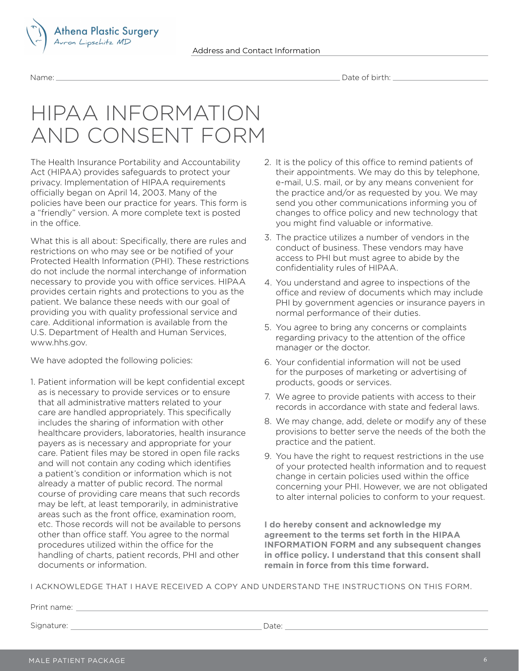



# HIPAA INFORMATION AND CONSENT FORM

The Health Insurance Portability and Accountability Act (HIPAA) provides safeguards to protect your privacy. Implementation of HIPAA requirements officially began on April 14, 2003. Many of the policies have been our practice for years. This form is a "friendly" version. A more complete text is posted in the office.

What this is all about: Specifically, there are rules and restrictions on who may see or be notified of your Protected Health Information (PHI). These restrictions do not include the normal interchange of information necessary to provide you with office services. HIPAA provides certain rights and protections to you as the patient. We balance these needs with our goal of providing you with quality professional service and care. Additional information is available from the U.S. Department of Health and Human Services, www.hhs.gov.

We have adopted the following policies:

1. Patient information will be kept confidential except as is necessary to provide services or to ensure that all administrative matters related to your care are handled appropriately. This specifically includes the sharing of information with other healthcare providers, laboratories, health insurance payers as is necessary and appropriate for your care. Patient files may be stored in open file racks and will not contain any coding which identifies a patient's condition or information which is not already a matter of public record. The normal course of providing care means that such records may be left, at least temporarily, in administrative areas such as the front office, examination room, etc. Those records will not be available to persons other than office staff. You agree to the normal procedures utilized within the office for the handling of charts, patient records, PHI and other documents or information.

- 2. It is the policy of this office to remind patients of their appointments. We may do this by telephone, e-mail, U.S. mail, or by any means convenient for the practice and/or as requested by you. We may send you other communications informing you of changes to office policy and new technology that you might find valuable or informative.
- 3. The practice utilizes a number of vendors in the conduct of business. These vendors may have access to PHI but must agree to abide by the confidentiality rules of HIPAA.
- 4. You understand and agree to inspections of the office and review of documents which may include PHI by government agencies or insurance payers in normal performance of their duties.
- 5. You agree to bring any concerns or complaints regarding privacy to the attention of the office manager or the doctor.
- 6. Your confidential information will not be used for the purposes of marketing or advertising of products, goods or services.
- 7. We agree to provide patients with access to their records in accordance with state and federal laws.
- 8. We may change, add, delete or modify any of these provisions to better serve the needs of the both the practice and the patient.
- 9. You have the right to request restrictions in the use of your protected health information and to request change in certain policies used within the office concerning your PHI. However, we are not obligated to alter internal policies to conform to your request.

**I do hereby consent and acknowledge my agreement to the terms set forth in the HIPAA INFORMATION FORM and any subsequent changes in office policy. I understand that this consent shall remain in force from this time forward.**

I ACKNOWLEDGE THAT I HAVE RECEIVED A COPY AND UNDERSTAND THE INSTRUCTIONS ON THIS FORM.

Print name: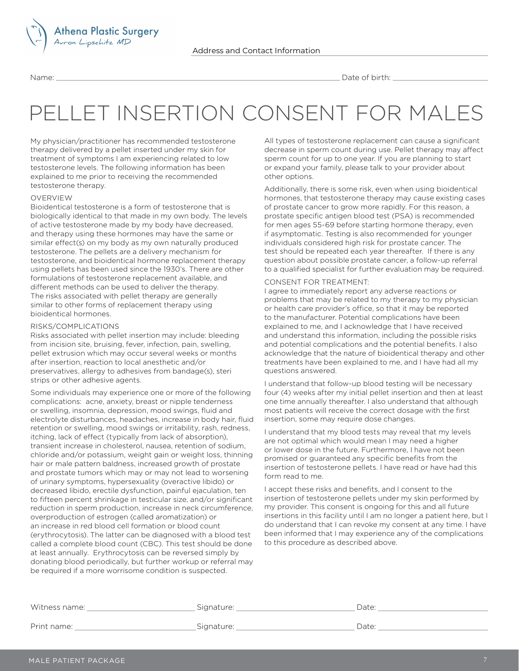

# PELLET INSERTION CONSENT FOR MALES

My physician/practitioner has recommended testosterone therapy delivered by a pellet inserted under my skin for treatment of symptoms I am experiencing related to low testosterone levels. The following information has been explained to me prior to receiving the recommended testosterone therapy.

<mark>Athena Plastic Surgery</mark><br>Avron Lipschitz MD

#### OVERVIEW

Bioidentical testosterone is a form of testosterone that is biologically identical to that made in my own body. The levels of active testosterone made by my body have decreased, and therapy using these hormones may have the same or similar effect(s) on my body as my own naturally produced testosterone. The pellets are a delivery mechanism for testosterone, and bioidentical hormone replacement therapy using pellets has been used since the 1930's. There are other formulations of testosterone replacement available, and different methods can be used to deliver the therapy. The risks associated with pellet therapy are generally similar to other forms of replacement therapy using bioidentical hormones.

#### RISKS/COMPLICATIONS

Risks associated with pellet insertion may include: bleeding from incision site, bruising, fever, infection, pain, swelling, pellet extrusion which may occur several weeks or months after insertion, reaction to local anesthetic and/or preservatives, allergy to adhesives from bandage(s), steri strips or other adhesive agents.

Some individuals may experience one or more of the following complications: acne, anxiety, breast or nipple tenderness or swelling, insomnia, depression, mood swings, fluid and electrolyte disturbances, headaches, increase in body hair, fluid retention or swelling, mood swings or irritability, rash, redness, itching, lack of effect (typically from lack of absorption), transient increase in cholesterol, nausea, retention of sodium, chloride and/or potassium, weight gain or weight loss, thinning hair or male pattern baldness, increased growth of prostate and prostate tumors which may or may not lead to worsening of urinary symptoms, hypersexuality (overactive libido) or decreased libido, erectile dysfunction, painful ejaculation, ten to fifteen percent shrinkage in testicular size, and/or significant reduction in sperm production, increase in neck circumference, overproduction of estrogen (called aromatization) or an increase in red blood cell formation or blood count (erythrocytosis). The latter can be diagnosed with a blood test called a complete blood count (CBC). This test should be done at least annually. Erythrocytosis can be reversed simply by donating blood periodically, but further workup or referral may be required if a more worrisome condition is suspected.

All types of testosterone replacement can cause a significant decrease in sperm count during use. Pellet therapy may affect sperm count for up to one year. If you are planning to start or expand your family, please talk to your provider about other options.

Additionally, there is some risk, even when using bioidentical hormones, that testosterone therapy may cause existing cases of prostate cancer to grow more rapidly. For this reason, a prostate specific antigen blood test (PSA) is recommended for men ages 55-69 before starting hormone therapy, even if asymptomatic. Testing is also recommended for younger individuals considered high risk for prostate cancer. The test should be repeated each year thereafter. If there is any question about possible prostate cancer, a follow-up referral to a qualified specialist for further evaluation may be required.

#### CONSENT FOR TREATMENT:

I agree to immediately report any adverse reactions or problems that may be related to my therapy to my physician or health care provider's office, so that it may be reported to the manufacturer. Potential complications have been explained to me, and I acknowledge that I have received and understand this information, including the possible risks and potential complications and the potential benefits. I also acknowledge that the nature of bioidentical therapy and other treatments have been explained to me, and I have had all my questions answered.

I understand that follow-up blood testing will be necessary four (4) weeks after my initial pellet insertion and then at least one time annually thereafter. I also understand that although most patients will receive the correct dosage with the first insertion, some may require dose changes.

I understand that my blood tests may reveal that my levels are not optimal which would mean I may need a higher or lower dose in the future. Furthermore, I have not been promised or guaranteed any specific benefits from the insertion of testosterone pellets. I have read or have had this form read to me.

I accept these risks and benefits, and I consent to the insertion of testosterone pellets under my skin performed by my provider. This consent is ongoing for this and all future insertions in this facility until I am no longer a patient here, but I do understand that I can revoke my consent at any time. I have been informed that I may experience any of the complications to this procedure as described above.

| Witness name: | Signature:                      | Date: |
|---------------|---------------------------------|-------|
|               |                                 |       |
| Print name:   | Sianature <sup>.</sup><br>19591 | Date  |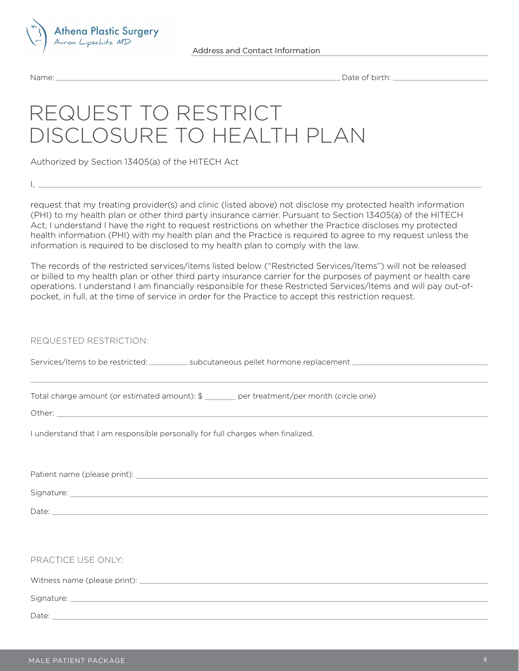

 $\frac{1}{1}$ ,  $\frac{1}{1}$ 

Name: Date of birth:

# REQUEST TO RESTRICT DISCLOSURE TO HEALTH PLAN

Authorized by Section 13405(a) of the HITECH Act

request that my treating provider(s) and clinic (listed above) not disclose my protected health information (PHI) to my health plan or other third party insurance carrier. Pursuant to Section 13405(a) of the HITECH Act, I understand I have the right to request restrictions on whether the Practice discloses my protected health information (PHI) with my health plan and the Practice is required to agree to my request unless the information is required to be disclosed to my health plan to comply with the law.

The records of the restricted services/items listed below ("Restricted Services/Items") will not be released or billed to my health plan or other third party insurance carrier for the purposes of payment or health care operations. I understand I am financially responsible for these Restricted Services/Items and will pay out-ofpocket, in full, at the time of service in order for the Practice to accept this restriction request.

REQUESTED RESTRICTION:

Services/Items to be restricted: \_\_\_\_\_\_\_\_\_\_ subcutaneous pellet hormone replacement \_\_\_\_\_\_\_\_\_\_\_\_\_\_\_\_\_\_\_\_\_\_\_\_\_\_

Total charge amount (or estimated amount): \$ \_\_\_\_\_\_\_ per treatment/per month (circle one)

Other: \_\_

I understand that I am responsible personally for full charges when finalized.

Patient name (please print):

Signature:

Date: **Date:** 

Witness name (please print): The matrix of the state of the state of the state of the state of the state of the state of the state of the state of the state of the state of the state of the state of the state of the state

Signature:

Date: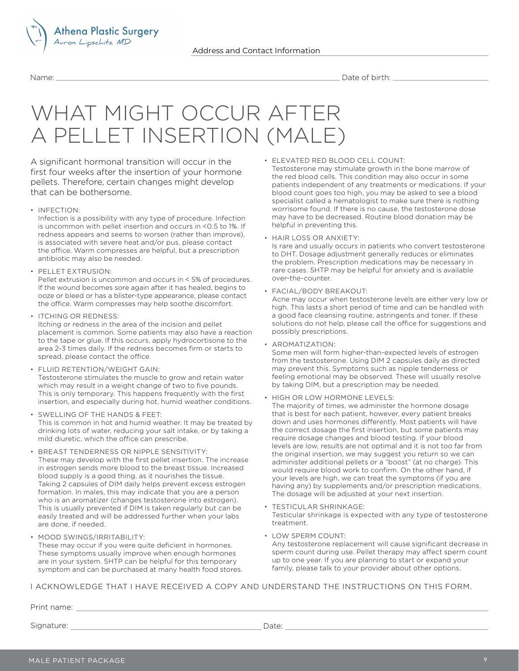

# WHAT MIGHT OCCUR AFTER A PELLET INSERTION (MALE)

A significant hormonal transition will occur in the first four weeks after the insertion of your hormone pellets. Therefore, certain changes might develop that can be bothersome.

• INFECTION:

Infection is a possibility with any type of procedure. Infection is uncommon with pellet insertion and occurs in <0.5 to 1%. If redness appears and seems to worsen (rather than improve), is associated with severe heat and/or pus, please contact the office. Warm compresses are helpful, but a prescription antibiotic may also be needed.

• PELLET EXTRUSION: Pellet extrusion is uncommon and occurs in < 5% of procedures. If the wound becomes sore again after it has healed, begins to

ooze or bleed or has a blister-type appearance, please contact the office. Warm compresses may help soothe discomfort.

• ITCHING OR REDNESS:

Itching or redness in the area of the incision and pellet placement is common. Some patients may also have a reaction to the tape or glue. If this occurs, apply hydrocortisone to the area 2-3 times daily. If the redness becomes firm or starts to spread, please contact the office.

- FLUID RETENTION/WEIGHT GAIN: Testosterone stimulates the muscle to grow and retain water which may result in a weight change of two to five pounds. This is only temporary. This happens frequently with the first insertion, and especially during hot, humid weather conditions.
- SWELLING OF THE HANDS & FEET: This is common in hot and humid weather. It may be treated by drinking lots of water, reducing your salt intake, or by taking a mild diuretic, which the office can prescribe.
- BREAST TENDERNESS OR NIPPLE SENSITIVITY: These may develop with the first pellet insertion. The increase in estrogen sends more blood to the breast tissue. Increased blood supply is a good thing, as it nourishes the tissue. Taking 2 capsules of DIM daily helps prevent excess estrogen formation. In males, this may indicate that you are a person who is an aromatizer (changes testosterone into estrogen). This is usually prevented if DIM is taken regularly but can be easily treated and will be addressed further when your labs are done, if needed.

symptom and can be purchased at many health food stores.

• MOOD SWINGS/IRRITABILITY: These may occur if you were quite deficient in hormones. These symptoms usually improve when enough hormones are in your system. 5HTP can be helpful for this temporary • ELEVATED RED BLOOD CELL COUNT: Testosterone may stimulate growth in the bone marrow of the red blood cells. This condition may also occur in some

patients independent of any treatments or medications. If your blood count goes too high, you may be asked to see a blood specialist called a hematologist to make sure there is nothing worrisome found. If there is no cause, the testosterone dose may have to be decreased. Routine blood donation may be helpful in preventing this.

• HAIR LOSS OR ANXIETY:

Is rare and usually occurs in patients who convert testosterone to DHT. Dosage adjustment generally reduces or eliminates the problem. Prescription medications may be necessary in rare cases. 5HTP may be helpful for anxiety and is available over-the-counter.

• FACIAL/BODY BREAKOUT:

Acne may occur when testosterone levels are either very low or high. This lasts a short period of time and can be handled with a good face cleansing routine, astringents and toner. If these solutions do not help, please call the office for suggestions and possibly prescriptions.

• AROMATIZATION:

Some men will form higher-than-expected levels of estrogen from the testosterone. Using DIM 2 capsules daily as directed may prevent this. Symptoms such as nipple tenderness or feeling emotional may be observed. These will usually resolve by taking DIM, but a prescription may be needed.

• HIGH OR LOW HORMONE LEVELS:

The majority of times, we administer the hormone dosage that is best for each patient, however, every patient breaks down and uses hormones differently. Most patients will have the correct dosage the first insertion, but some patients may require dosage changes and blood testing. If your blood levels are low, results are not optimal and it is not too far from the original insertion, we may suggest you return so we can administer additional pellets or a "boost" (at no charge). This would require blood work to confirm. On the other hand, if your levels are high, we can treat the symptoms (if you are having any) by supplements and/or prescription medications. The dosage will be adjusted at your next insertion.

- TESTICULAR SHRINKAGE: Testicular shrinkage is expected with any type of testosterone treatment.
- LOW SPERM COUNT:

Any testosterone replacement will cause significant decrease in sperm count during use. Pellet therapy may affect sperm count up to one year. If you are planning to start or expand your family, please talk to your provider about other options.

I ACKNOWLEDGE THAT I HAVE RECEIVED A COPY AND UNDERSTAND THE INSTRUCTIONS ON THIS FORM.

Print name: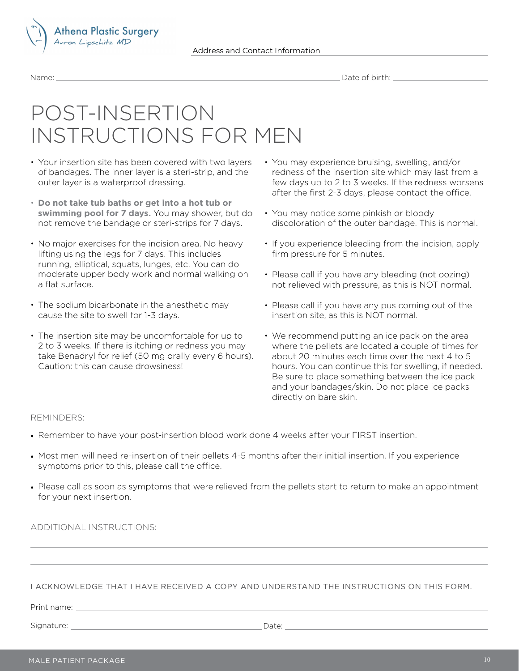



## POST-INSERTION INSTRUCTIONS FOR MEN

- Your insertion site has been covered with two layers of bandages. The inner layer is a steri-strip, and the outer layer is a waterproof dressing.
- **Do not take tub baths or get into a hot tub or swimming pool for 7 days.** You may shower, but do not remove the bandage or steri-strips for 7 days.
- No major exercises for the incision area. No heavy lifting using the legs for 7 days. This includes running, elliptical, squats, lunges, etc. You can do moderate upper body work and normal walking on a flat surface.
- The sodium bicarbonate in the anesthetic may cause the site to swell for 1-3 days.
- The insertion site may be uncomfortable for up to 2 to 3 weeks. If there is itching or redness you may take Benadryl for relief (50 mg orally every 6 hours). Caution: this can cause drowsiness!
- You may experience bruising, swelling, and/or redness of the insertion site which may last from a few days up to 2 to 3 weeks. If the redness worsens after the first 2-3 days, please contact the office.
- You may notice some pinkish or bloody discoloration of the outer bandage. This is normal.
- If you experience bleeding from the incision, apply firm pressure for 5 minutes.
- Please call if you have any bleeding (not oozing) not relieved with pressure, as this is NOT normal.
- Please call if you have any pus coming out of the insertion site, as this is NOT normal.
- We recommend putting an ice pack on the area where the pellets are located a couple of times for about 20 minutes each time over the next 4 to 5 hours. You can continue this for swelling, if needed. Be sure to place something between the ice pack and your bandages/skin. Do not place ice packs directly on bare skin.

### REMINDERS:

- Remember to have your post-insertion blood work done 4 weeks after your FIRST insertion.
- Most men will need re-insertion of their pellets 4-5 months after their initial insertion. If you experience symptoms prior to this, please call the office.
- Please call as soon as symptoms that were relieved from the pellets start to return to make an appointment for your next insertion.

ADDITIONAL INSTRUCTIONS:

### I ACKNOWLEDGE THAT I HAVE RECEIVED A COPY AND UNDERSTAND THE INSTRUCTIONS ON THIS FORM.

Print name: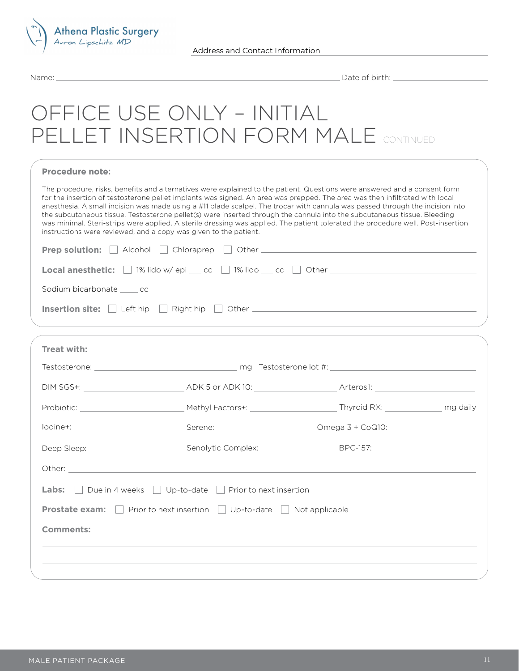

## OFFICE USE ONLY – INITIAL PELLET INSERTION FORM MALE CONTINUED

| <b>Procedure note:</b> |  |
|------------------------|--|
|------------------------|--|

The procedure, risks, benefits and alternatives were explained to the patient. Questions were answered and a consent form for the insertion of testosterone pellet implants was signed. An area was prepped. The area was then infiltrated with local anesthesia. A small incision was made using a #11 blade scalpel. The trocar with cannula was passed through the incision into the subcutaneous tissue. Testosterone pellet(s) were inserted through the cannula into the subcutaneous tissue. Bleeding was minimal. Steri-strips were applied. A sterile dressing was applied. The patient tolerated the procedure well. Post-insertion instructions were reviewed, and a copy was given to the patient.

| <b>Local anesthetic:</b> $\Box$ 1% lido w/epi $\Box$ cc $\Box$ 1% lido $\Box$ cc $\Box$ Other $\Box$ |
|------------------------------------------------------------------------------------------------------|
| Sodium bicarbonate ______ cc                                                                         |
| Insertion site: Left hip Right hip Other                                                             |

| Treat with:      |                                                                                                                |  |
|------------------|----------------------------------------------------------------------------------------------------------------|--|
|                  |                                                                                                                |  |
|                  |                                                                                                                |  |
|                  |                                                                                                                |  |
|                  |                                                                                                                |  |
|                  | Deep Sleep: ____________________________Senolytic Complex: _____________________BPC-157: _____________________ |  |
|                  |                                                                                                                |  |
|                  | <b>Labs:</b> $\Box$ Due in 4 weeks $\Box$ Up-to-date $\Box$ Prior to next insertion                            |  |
|                  | <b>Prostate exam:</b> Prior to next insertion $\Box$ Up-to-date $\Box$ Not applicable                          |  |
| <b>Comments:</b> |                                                                                                                |  |
|                  |                                                                                                                |  |
|                  |                                                                                                                |  |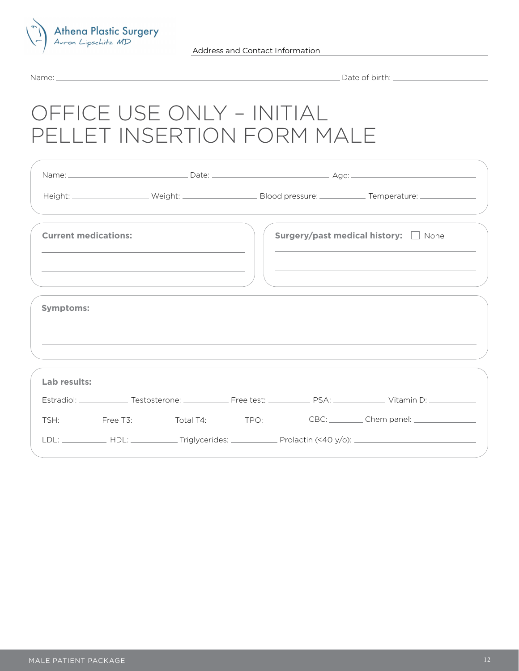

Name: Date of birth:

# OFFICE USE ONLY – INITIAL PELLET INSERTION FORM MALE

|                             |  |                                    | Height: ____________________Weight: __________________________________Blood pressure: _______________________________         |
|-----------------------------|--|------------------------------------|-------------------------------------------------------------------------------------------------------------------------------|
| <b>Current medications:</b> |  | Surgery/past medical history: None |                                                                                                                               |
|                             |  |                                    |                                                                                                                               |
| <b>Symptoms:</b>            |  |                                    |                                                                                                                               |
|                             |  |                                    |                                                                                                                               |
| Lab results:                |  |                                    |                                                                                                                               |
|                             |  |                                    | Estradiol: _______________Testosterone: ________________Free test: ______________ PSA: ______________ Vitamin D: ____________ |
|                             |  |                                    | TSH: Free T3: __________ Total T4: _________ TPO: __________ CBC: ________ Chem panel: _____________                          |
|                             |  |                                    |                                                                                                                               |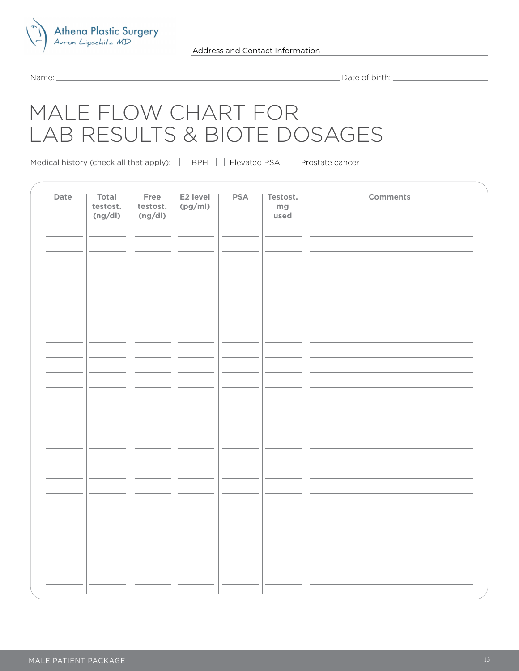

Name: Date of birth:

## MALE FLOW CHART FOR LAB RESULTS & BIOTE DOSAGES

Medical history (check all that apply):  $\Box$  BPH  $\Box$  Elevated PSA  $\Box$  Prostate cancer

| Date | Total<br>testost.<br>(ng/dl) | Free<br>testost.<br>(ng/dl) | E2 level<br>(pg/ml) | <b>PSA</b> | Testost.<br>mg<br>used | <b>Comments</b> |
|------|------------------------------|-----------------------------|---------------------|------------|------------------------|-----------------|
|      |                              |                             |                     |            |                        |                 |
|      |                              |                             |                     |            |                        |                 |
|      |                              |                             |                     |            |                        |                 |
|      |                              |                             |                     |            |                        |                 |
|      |                              |                             |                     |            |                        |                 |
|      |                              |                             |                     |            |                        |                 |
|      |                              |                             |                     |            |                        |                 |
|      |                              |                             |                     |            |                        |                 |
|      |                              |                             |                     |            |                        |                 |
|      |                              |                             |                     |            |                        |                 |
|      |                              |                             |                     |            |                        |                 |
|      |                              |                             |                     |            |                        |                 |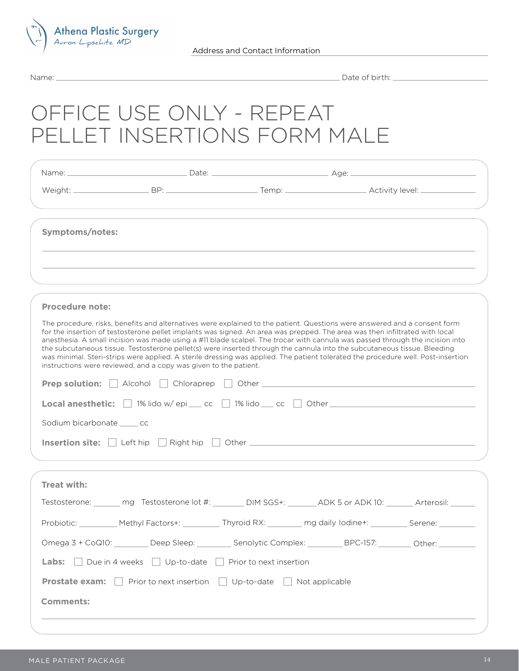

# OFFICE USE ONLY - REPEAT PELLET INSERTIONS FORM MALE

| Symptoms/notes:                                                                  |                                                                                                                                                                                                                                                                                                                                                                                                                                                                                                                                                                                                                                                                                                                               |                                                                                                                                                                                                                                |  |  |  |
|----------------------------------------------------------------------------------|-------------------------------------------------------------------------------------------------------------------------------------------------------------------------------------------------------------------------------------------------------------------------------------------------------------------------------------------------------------------------------------------------------------------------------------------------------------------------------------------------------------------------------------------------------------------------------------------------------------------------------------------------------------------------------------------------------------------------------|--------------------------------------------------------------------------------------------------------------------------------------------------------------------------------------------------------------------------------|--|--|--|
|                                                                                  |                                                                                                                                                                                                                                                                                                                                                                                                                                                                                                                                                                                                                                                                                                                               |                                                                                                                                                                                                                                |  |  |  |
|                                                                                  |                                                                                                                                                                                                                                                                                                                                                                                                                                                                                                                                                                                                                                                                                                                               |                                                                                                                                                                                                                                |  |  |  |
| <b>Procedure note:</b>                                                           |                                                                                                                                                                                                                                                                                                                                                                                                                                                                                                                                                                                                                                                                                                                               |                                                                                                                                                                                                                                |  |  |  |
|                                                                                  | The procedure, risks, benefits and alternatives were explained to the patient. Questions were answered and a consent form<br>for the insertion of testosterone pellet implants was signed. An area was prepped. The area was then infiltrated with local<br>anesthesia. A small incision was made using a #11 blade scalpel. The trocar with cannula was passed through the incision into<br>the subcutaneous tissue. Testosterone pellet(s) were inserted through the cannula into the subcutaneous tissue. Bleeding<br>was minimal. Steri-strips were applied. A sterile dressing was applied. The patient tolerated the procedure well. Post-insertion<br>instructions were reviewed, and a copy was given to the patient. |                                                                                                                                                                                                                                |  |  |  |
|                                                                                  |                                                                                                                                                                                                                                                                                                                                                                                                                                                                                                                                                                                                                                                                                                                               |                                                                                                                                                                                                                                |  |  |  |
| Local anesthetic: □ 1% lido w/epi __ cc □ 1% lido __ cc □ Other ________________ |                                                                                                                                                                                                                                                                                                                                                                                                                                                                                                                                                                                                                                                                                                                               |                                                                                                                                                                                                                                |  |  |  |
| Sodium bicarbonate ______ cc                                                     |                                                                                                                                                                                                                                                                                                                                                                                                                                                                                                                                                                                                                                                                                                                               |                                                                                                                                                                                                                                |  |  |  |
| Insertion site: Left hip                                                         |                                                                                                                                                                                                                                                                                                                                                                                                                                                                                                                                                                                                                                                                                                                               | Right hip Cher Chemistry and the Right hip Chemistry and the Chemistry and the Chemistry and the Chemistry and The Chemistry and the Chemistry and the Chemistry and the Chemistry and the Chemistry and the Chemistry and The |  |  |  |
|                                                                                  |                                                                                                                                                                                                                                                                                                                                                                                                                                                                                                                                                                                                                                                                                                                               |                                                                                                                                                                                                                                |  |  |  |
| Treat with:                                                                      |                                                                                                                                                                                                                                                                                                                                                                                                                                                                                                                                                                                                                                                                                                                               |                                                                                                                                                                                                                                |  |  |  |
|                                                                                  | Testosterone: _______ mg Testosterone lot #: _______ DIM SGS+: ADK 5 or ADK 10: Arterosil:                                                                                                                                                                                                                                                                                                                                                                                                                                                                                                                                                                                                                                    |                                                                                                                                                                                                                                |  |  |  |
|                                                                                  | Probiotic: __________ Methyl Factors+: _________ Thyroid RX: ________ mg daily lodine+: _________ Serene: ________                                                                                                                                                                                                                                                                                                                                                                                                                                                                                                                                                                                                            |                                                                                                                                                                                                                                |  |  |  |
|                                                                                  | Omega 3 + CoQ10: _________Deep Sleep: __________Senolytic Complex: _________BPC-157: _________Other: _________                                                                                                                                                                                                                                                                                                                                                                                                                                                                                                                                                                                                                |                                                                                                                                                                                                                                |  |  |  |
|                                                                                  | <b>Labs:</b> $\Box$ Due in 4 weeks $\Box$ Up-to-date $\Box$ Prior to next insertion                                                                                                                                                                                                                                                                                                                                                                                                                                                                                                                                                                                                                                           |                                                                                                                                                                                                                                |  |  |  |
|                                                                                  | <b>Prostate exam:</b> $\Box$ Prior to next insertion $\Box$ Up-to-date $\Box$ Not applicable                                                                                                                                                                                                                                                                                                                                                                                                                                                                                                                                                                                                                                  |                                                                                                                                                                                                                                |  |  |  |
| <b>Comments:</b>                                                                 |                                                                                                                                                                                                                                                                                                                                                                                                                                                                                                                                                                                                                                                                                                                               |                                                                                                                                                                                                                                |  |  |  |
|                                                                                  |                                                                                                                                                                                                                                                                                                                                                                                                                                                                                                                                                                                                                                                                                                                               |                                                                                                                                                                                                                                |  |  |  |